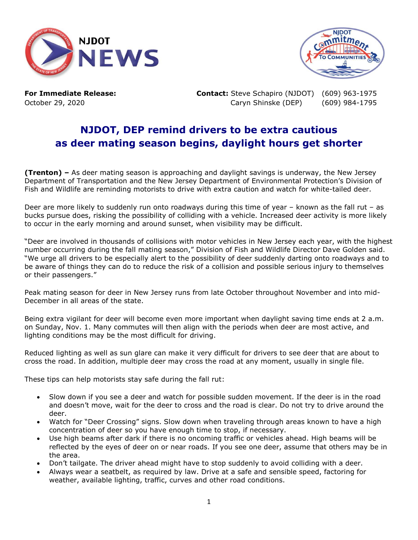



**For Immediate Release: Contact:** Steve Schapiro (NJDOT) (609) 963-1975 October 29, 2020 Caryn Shinske (DEP) (609) 984-1795

## **NJDOT, DEP remind drivers to be extra cautious as deer mating season begins, daylight hours get shorter**

**(Trenton) –** As deer mating season is approaching and daylight savings is underway, the New Jersey Department of Transportation and the New Jersey Department of Environmental Protection's Division of Fish and Wildlife are reminding motorists to drive with extra caution and watch for white-tailed deer.

Deer are more likely to suddenly run onto roadways during this time of year – known as the fall rut – as bucks pursue does, risking the possibility of colliding with a vehicle. Increased deer activity is more likely to occur in the early morning and around sunset, when visibility may be difficult.

"Deer are involved in thousands of collisions with motor vehicles in New Jersey each year, with the highest number occurring during the fall mating season," Division of Fish and Wildlife Director Dave Golden said. "We urge all drivers to be especially alert to the possibility of deer suddenly darting onto roadways and to be aware of things they can do to reduce the risk of a collision and possible serious injury to themselves or their passengers."

Peak mating season for deer in New Jersey runs from late October throughout November and into mid-December in all areas of the state.

Being extra vigilant for deer will become even more important when daylight saving time ends at 2 a.m. on Sunday, Nov. 1. Many commutes will then align with the periods when deer are most active, and lighting conditions may be the most difficult for driving.

Reduced lighting as well as sun glare can make it very difficult for drivers to see deer that are about to cross the road. In addition, multiple deer may cross the road at any moment, usually in single file.

These tips can help motorists stay safe during the fall rut:

- Slow down if you see a deer and watch for possible sudden movement. If the deer is in the road and doesn't move, wait for the deer to cross and the road is clear. Do not try to drive around the deer.
- Watch for "Deer Crossing" signs. Slow down when traveling through areas known to have a high concentration of deer so you have enough time to stop, if necessary.
- Use high beams after dark if there is no oncoming traffic or vehicles ahead. High beams will be reflected by the eyes of deer on or near roads. If you see one deer, assume that others may be in the area.
- Don't tailgate. The driver ahead might have to stop suddenly to avoid colliding with a deer.
- Always wear a seatbelt, as required by law. Drive at a safe and sensible speed, factoring for weather, available lighting, traffic, curves and other road conditions.